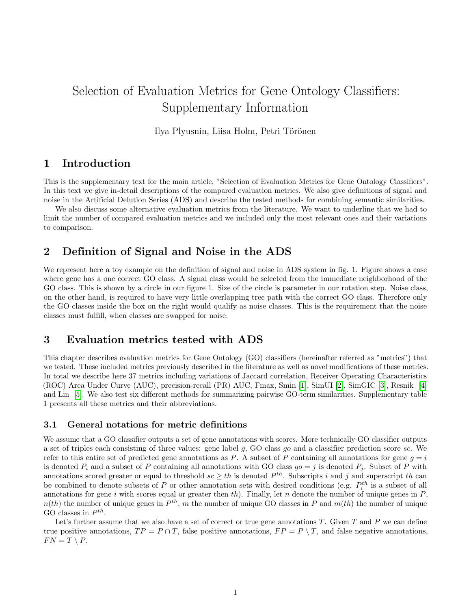# Selection of Evaluation Metrics for Gene Ontology Classifiers: Supplementary Information

Ilya Plyusnin, Liisa Holm, Petri Törönen

## 1 Introduction

This is the supplementary text for the main article, "Selection of Evaluation Metrics for Gene Ontology Classifiers". In this text we give in-detail descriptions of the compared evaluation metrics. We also give definitions of signal and noise in the Artificial Delution Series (ADS) and describe the tested methods for combining semantic similarities.

We also discuss some alternative evaluation metrics from the literature. We want to underline that we had to limit the number of compared evaluation metrics and we included only the most relevant ones and their variations to comparison.

# 2 Definition of Signal and Noise in the ADS

We represent here a toy example on the definition of signal and noise in ADS system in fig. 1. Figure shows a case where gene has a one correct GO class. A signal class would be selected from the immediate neighborhood of the GO class. This is shown by a circle in our figure 1. Size of the circle is parameter in our rotation step. Noise class, on the other hand, is required to have very little overlapping tree path with the correct GO class. Therefore only the GO classes inside the box on the right would qualify as noise classes. This is the requirement that the noise classes must fulfill, when classes are swapped for noise.

# 3 Evaluation metrics tested with ADS

This chapter describes evaluation metrics for Gene Ontology (GO) classifiers (hereinafter referred as "metrics") that we tested. These included metrics previously described in the literature as well as novel modifications of these metrics. In total we describe here 37 metrics including variations of Jaccard correlation, Receiver Operating Characteristics (ROC) Area Under Curve (AUC), precision-recall (PR) AUC, Fmax, Smin [\[1\]](#page-9-0), SimUI [\[2\]](#page-9-1), SimGIC [\[3\]](#page-9-2), Resnik [\[4\]](#page-9-3) and Lin [\[5\]](#page-9-4). We also test six different methods for summarizing pairwise GO-term similarities. Supplementary table 1 presents all these metrics and their abbreviations.

### 3.1 General notations for metric definitions

We assume that a GO classifier outputs a set of gene annotations with scores. More technically GO classifier outputs a set of triples each consisting of three values: gene label  $g$ , GO class  $g\circ$  and a classifier prediction score sc. We refer to this entire set of predicted gene annotations as P. A subset of P containing all annotations for gene  $q = i$ is denoted  $P_i$  and a subset of P containing all annotations with GO class  $qo = j$  is denoted  $P_i$ . Subset of P with annotations scored greater or equal to threshold  $sc \geq th$  is denoted  $P^{th}$ . Subscripts i and j and superscript th can be combined to denote subsets of P or other annotation sets with desired conditions (e.g.  $P_i^{th}$  is a subset of all annotations for gene i with scores equal or greater then  $th$ ). Finally, let n denote the number of unique genes in  $P$ ,  $n(th)$  the number of unique genes in  $P^{th}$ , m the number of unique GO classes in P and  $m(th)$  the number of unique GO classes in  $P^{th}$ .

Let's further assume that we also have a set of correct or true gene annotations  $T$ . Given  $T$  and  $P$  we can define true positive annotations,  $TP = P \cap T$ , false positive annotations,  $FP = P \setminus T$ , and false negative annotations,  $FN = T \setminus P$ .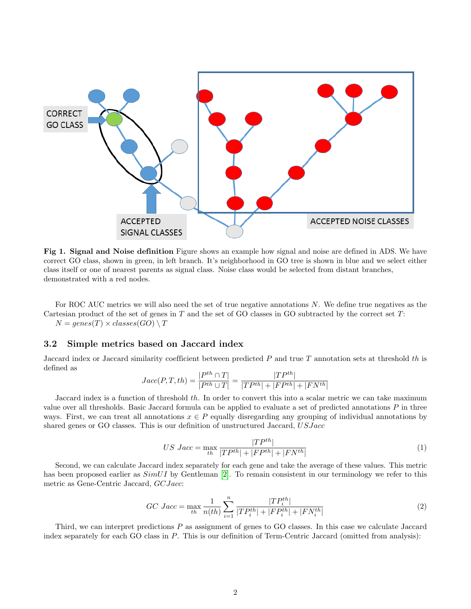

Fig 1. Signal and Noise definition Figure shows an example how signal and noise are defined in ADS. We have correct GO class, shown in green, in left branch. It's neighborhood in GO tree is shown in blue and we select either class itself or one of nearest parents as signal class. Noise class would be selected from distant branches, demonstrated with a red nodes.

For ROC AUC metrics we will also need the set of true negative annotations N. We define true negatives as the Cartesian product of the set of genes in  $T$  and the set of GO classes in GO subtracted by the correct set  $T$ :  $N = genes(T) \times classes(GO) \setminus T$ 

### 3.2 Simple metrics based on Jaccard index

Jaccard index or Jaccard similarity coefficient between predicted  $P$  and true  $T$  annotation sets at threshold  $th$  is defined as

$$
Jacc(P, T, th) = \frac{|P^{th} \cap T|}{|P^{th} \cup T|} = \frac{|TP^{th}|}{|TP^{th}| + |FP^{th}| + |FN^{th}|}
$$

Jaccard index is a function of threshold th. In order to convert this into a scalar metric we can take maximum value over all thresholds. Basic Jaccard formula can be applied to evaluate a set of predicted annotations  $P$  in three ways. First, we can treat all annotations  $x \in P$  equally disregarding any grouping of individual annotations by shared genes or GO classes. This is our definition of unstructured Jaccard, USJacc

$$
US\,\, Jacc = \max_{th} \frac{|TP^{th}|}{|TP^{th}| + |FP^{th}| + |FN^{th}|} \tag{1}
$$

Second, we can calculate Jaccard index separately for each gene and take the average of these values. This metric has been proposed earlier as  $SimUI$  by Gentleman [\[2\]](#page-9-1). To remain consistent in our terminology we refer to this metric as Gene-Centric Jaccard, GCJacc:

$$
GC\,\,Jacc = \max_{th} \frac{1}{n(th)} \sum_{i=1}^{n} \frac{|TP_i^{th}|}{|TP_i^{th}| + |FP_i^{th}| + |FN_i^{th}|}
$$
\n
$$
(2)
$$

Third, we can interpret predictions P as assignment of genes to GO classes. In this case we calculate Jaccard index separately for each GO class in P. This is our definition of Term-Centric Jaccard (omitted from analysis):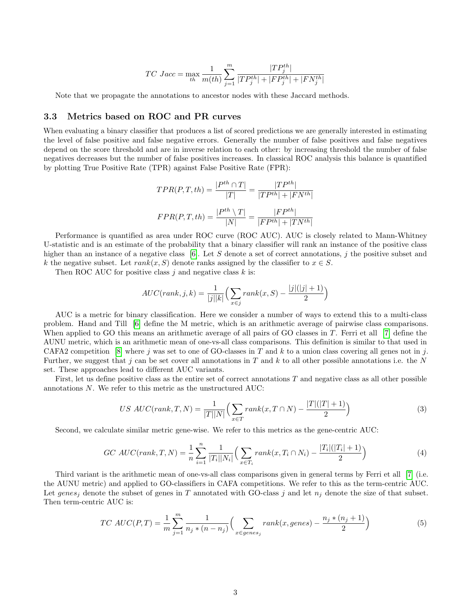$$
TC\,\,Jac = \max_{th} \frac{1}{m(th)} \sum_{j=1}^{m} \frac{|TP_j^{th}|}{|TP_j^{th}| + |FP_j^{th}| + |FN_j^{th}|}
$$

Note that we propagate the annotations to ancestor nodes with these Jaccard methods.

### 3.3 Metrics based on ROC and PR curves

When evaluating a binary classifier that produces a list of scored predictions we are generally interested in estimating the level of false positive and false negative errors. Generally the number of false positives and false negatives depend on the score threshold and are in inverse relation to each other: by increasing threshold the number of false negatives decreases but the number of false positives increases. In classical ROC analysis this balance is quantified by plotting True Positive Rate (TPR) against False Positive Rate (FPR):

$$
TPR(P, T, th) = \frac{|P^{th} \cap T|}{|T|} = \frac{|TP^{th}|}{|TP^{th}| + |FN^{th}|}
$$

$$
FPR(P, T, th) = \frac{|P^{th} \setminus T|}{|N|} = \frac{|FP^{th}|}{|FP^{th}| + |TN^{th}|}
$$

Performance is quantified as area under ROC curve (ROC AUC). AUC is closely related to Mann-Whitney U-statistic and is an estimate of the probability that a binary classifier will rank an instance of the positive class higher than an instance of a negative class [\[6\]](#page-9-5). Let S denote a set of correct annotations, j the positive subset and k the negative subset. Let  $rank(x, S)$  denote ranks assigned by the classifier to  $x \in S$ .

Then ROC AUC for positive class  $i$  and negative class  $k$  is:

$$
AUC(rank, j, k) = \frac{1}{|j||k|} \left( \sum_{x \in j} rank(x, S) - \frac{|j|(|j|+1)}{2} \right)
$$

AUC is a metric for binary classification. Here we consider a number of ways to extend this to a multi-class problem. Hand and Till [\[6\]](#page-9-5) define the M metric, which is an arithmetic average of pairwise class comparisons. When applied to GO this means an arithmetic average of all pairs of GO classes in T. Ferri et all [\[7\]](#page-9-6) define the AUNU metric, which is an arithmetic mean of one-vs-all class comparisons. This definition is similar to that used in CAFA2 competition [\[8\]](#page-9-7) where j was set to one of GO-classes in T and k to a union class covering all genes not in j. Further, we suggest that j can be set cover all annotations in T and k to all other possible annotations i.e. the N set. These approaches lead to different AUC variants.

First, let us define positive class as the entire set of correct annotations  $T$  and negative class as all other possible annotations N. We refer to this metric as the unstructured AUC:

$$
US\ AUC(rank, T, N) = \frac{1}{|T||N|} \left( \sum_{x \in T} rank(x, T \cap N) - \frac{|T|(|T|+1)}{2} \right) \tag{3}
$$

Second, we calculate similar metric gene-wise. We refer to this metrics as the gene-centric AUC:

$$
GC\ AUC(rank, T, N) = \frac{1}{n} \sum_{i=1}^{n} \frac{1}{|T_i||N_i|} \Big( \sum_{x \in T_i} rank(x, T_i \cap N_i) - \frac{|T_i|(|T_i| + 1)}{2} \Big) \tag{4}
$$

Third variant is the arithmetic mean of one-vs-all class comparisons given in general terms by Ferri et all [\[7\]](#page-9-6) (i.e. the AUNU metric) and applied to GO-classifiers in CAFA competitions. We refer to this as the term-centric AUC. Let genes<sub>j</sub> denote the subset of genes in T annotated with GO-class j and let  $n_j$  denote the size of that subset. Then term-centric AUC is:

$$
TC \ AUC(P,T) = \frac{1}{m} \sum_{j=1}^{m} \frac{1}{n_j * (n - n_j)} \Big( \sum_{x \in genes_j} rank(x, genes) - \frac{n_j * (n_j + 1)}{2} \Big) \tag{5}
$$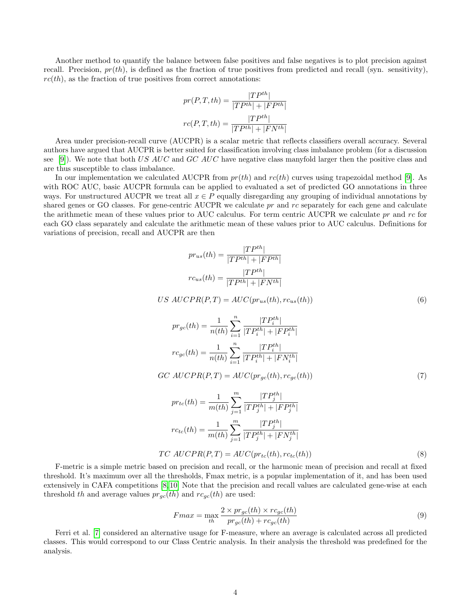Another method to quantify the balance between false positives and false negatives is to plot precision against recall. Precision,  $pr(th)$ , is defined as the fraction of true positives from predicted and recall (syn. sensitivity),  $rc(th)$ , as the fraction of true positives from correct annotations:

$$
pr(P, T, th) = \frac{|TP^{th}|}{|TP^{th}| + |FP^{th}|}
$$

$$
rc(P, T, th) = \frac{|TP^{th}|}{|TP^{th}| + |FN^{th}|}
$$

Area under precision-recall curve (AUCPR) is a scalar metric that reflects classifiers overall accuracy. Several authors have argued that AUCPR is better suited for classification involving class imbalance problem (for a discussion see [\[9\]](#page-9-8)). We note that both US AUC and GC AUC have negative class manyfold larger then the positive class and are thus susceptible to class imbalance.

In our implementation we calculated AUCPR from  $pr(th)$  and  $rc(th)$  curves using trapezoidal method [\[9\]](#page-9-8). As with ROC AUC, basic AUCPR formula can be applied to evaluated a set of predicted GO annotations in three ways. For unstructured AUCPR we treat all  $x \in P$  equally disregarding any grouping of individual annotations by shared genes or GO classes. For gene-centric AUCPR we calculate  $pr$  and  $rc$  separately for each gene and calculate the arithmetic mean of these values prior to AUC calculus. For term centric AUCPR we calculate pr and rc for each GO class separately and calculate the arithmetic mean of these values prior to AUC calculus. Definitions for variations of precision, recall and AUCPR are then

$$
pr_{us}(th) = \frac{|TP^{th}|}{|TP^{th}| + |FP^{th}|}
$$

$$
rc_{us}(th) = \frac{|TP^{th}|}{|TP^{th}| + |FN^{th}|}
$$

$$
US\ AUCPR(P,T) = AUC(pr_{us}(th), rc_{us}(th))
$$
\n
$$
(6)
$$

$$
pr_{gc}(th) = \frac{1}{n(th)} \sum_{i=1}^{n} \frac{|TP_i^{th}|}{|TP_i^{th}| + |FP_i^{th}|}
$$

$$
rc_{gc}(th) = \frac{1}{n(th)} \sum_{i=1}^{n} \frac{|TP_i^{th}|}{|TP_i^{th}| + |FN_i^{th}|}
$$

$$
GC\ AUCPR(P,T) = AUC(pr_{gc}(th), rc_{gc}(th))
$$
\n<sup>(7)</sup>

$$
pr_{tc}(th) = \frac{1}{m(th)} \sum_{j=1}^{m} \frac{|TP_j^{th}|}{|TP_j^{th}| + |FP_j^{th}|}
$$

$$
rc_{tc}(th) = \frac{1}{m(th)} \sum_{j=1}^{m} \frac{|TP_j^{th}|}{|TP_j^{th}| + |FN_j^{th}|}
$$

$$
TC\ AUCPR(P, T) = AUC(pr_{tc}(th), rc_{tc}(th))
$$
(8)

F-metric is a simple metric based on precision and recall, or the harmonic mean of precision and recall at fixed threshold. It's maximum over all the thresholds, Fmax metric, is a popular implementation of it, and has been used extensively in CAFA competitions [\[8,](#page-9-7) [10\]](#page-9-9) Note that the precision and recall values are calculated gene-wise at each threshold th and average values  $pr_{gc}(th)$  and  $rc_{gc}(th)$  are used:

$$
Fmax = \max_{th} \frac{2 \times pr_{gc}(th) \times rc_{gc}(th)}{pr_{gc}(th) + rc_{gc}(th)}
$$
\n(9)

Ferri et al. [\[7\]](#page-9-6) considered an alternative usage for F-measure, where an average is calculated across all predicted classes. This would correspond to our Class Centric analysis. In their analysis the threshold was predefined for the analysis.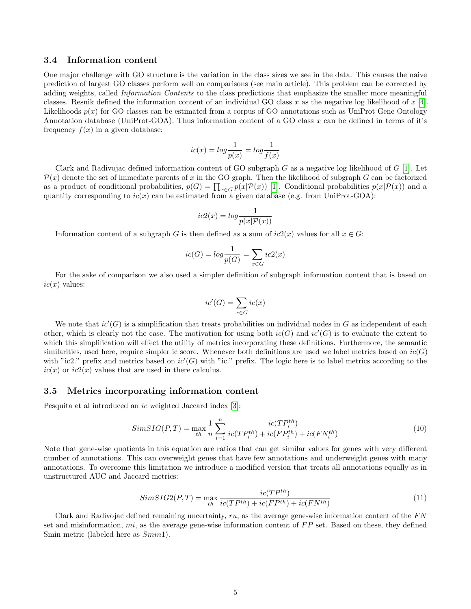#### 3.4 Information content

One major challenge with GO structure is the variation in the class sizes we see in the data. This causes the naive prediction of largest GO classes perform well on comparisons (see main article). This problem can be corrected by adding weights, called Information Contents to the class predictions that emphasize the smaller more meaningful classes. Resnik defined the information content of an individual GO class x as the negative log likelihood of  $x$  [\[4\]](#page-9-3). Likelihoods  $p(x)$  for GO classes can be estimated from a corpus of GO annotations such as UniProt Gene Ontology Annotation database (UniProt-GOA). Thus information content of a GO class  $x$  can be defined in terms of it's frequency  $f(x)$  in a given database:

$$
ic(x) = \log \frac{1}{p(x)} = \log \frac{1}{f(x)}
$$

Clark and Radivojac defined information content of GO subgraph  $G$  as a negative log likelihood of  $G$  [\[1\]](#page-9-0). Let  $\mathcal{P}(x)$  denote the set of immediate parents of x in the GO graph. Then the likelihood of subgraph G can be factorized as a product of conditional probabilities,  $p(G) = \prod_{x \in G} p(x|P(x))$  [\[1\]](#page-9-0). Conditional probabilities  $p(x|P(x))$  and a quantity corresponding to  $ic(x)$  can be estimated from a given database (e.g. from UniProt-GOA):

$$
ic2(x) = \log \frac{1}{p(x|\mathcal{P}(x))}
$$

Information content of a subgraph G is then defined as a sum of  $ic2(x)$  values for all  $x \in G$ :

$$
ic(G) = log \frac{1}{p(G)} = \sum_{x \in G} ic2(x)
$$

For the sake of comparison we also used a simpler definition of subgraph information content that is based on  $ic(x)$  values:

$$
ic'(G) = \sum_{x \in G} ic(x)
$$

We note that  $ic'(G)$  is a simplification that treats probabilities on individual nodes in G as independent of each other, which is clearly not the case. The motivation for using both  $ic(G)$  and  $ic'(G)$  is to evaluate the extent to which this simplification will effect the utility of metrics incorporating these definitions. Furthermore, the semantic similarities, used here, require simpler ic score. Whenever both definitions are used we label metrics based on  $ic(G)$ with "ic2." prefix and metrics based on  $ic'(G)$  with "ic." prefix. The logic here is to label metrics according to the  $ic(x)$  or  $ic2(x)$  values that are used in there calculus.

#### 3.5 Metrics incorporating information content

Pesquita et al introduced an ic weighted Jaccard index [\[3\]](#page-9-2):

$$
SimSIG(P, T) = \max_{th} \frac{1}{n} \sum_{i=1}^{n} \frac{ic(TP_i^{th})}{ic(TP_i^{th}) + ic(FP_i^{th}) + ic(FN_i^{th})}
$$
(10)

Note that gene-wise quotients in this equation are ratios that can get similar values for genes with very different number of annotations. This can overweight genes that have few annotations and underweight genes with many annotations. To overcome this limitation we introduce a modified version that treats all annotations equally as in unstructured AUC and Jaccard metrics:

$$
SimSIG2(P, T) = \max_{th} \frac{ic(TP^{th})}{ic(TP^{th}) + ic(FP^{th}) + ic(FN^{th})}
$$
\n
$$
(11)
$$

Clark and Radivojac defined remaining uncertainty,  $ru$ , as the average gene-wise information content of the  $FN$ set and misinformation,  $mi$ , as the average gene-wise information content of  $FP$  set. Based on these, they defined Smin metric (labeled here as  $Smin1$ ).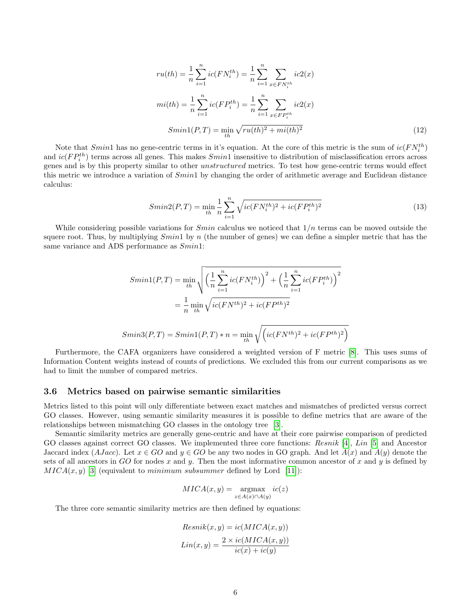$$
ru(th) = \frac{1}{n} \sum_{i=1}^{n} ic(FN_i^{th}) = \frac{1}{n} \sum_{i=1}^{n} \sum_{x \in FN_i^{th}} ic2(x)
$$

$$
mi(th) = \frac{1}{n} \sum_{i=1}^{n} ic(FP_i^{th}) = \frac{1}{n} \sum_{i=1}^{n} \sum_{x \in FP_i^{th}} ic2(x)
$$

$$
Similar(P, T) = \min_{th} \sqrt{ru(th)^2 + mi(th)^2}
$$
(12)

Note that  $Smith$  has no gene-centric terms in it's equation. At the core of this metric is the sum of  $ic(FN_i^{th})$ and  $ic(FP_i^{th})$  terms across all genes. This makes  $Smithi$  insensitive to distribution of misclassification errors across genes and is by this property similar to other unstructured metrics. To test how gene-centric terms would effect this metric we introduce a variation of  $Smith$  by changing the order of arithmetic average and Euclidean distance calculus:

$$
Smin2(P,T) = \min_{th} \frac{1}{n} \sum_{i=1}^{n} \sqrt{ic(FN_i^{th})^2 + ic(FP_i^{th})^2}
$$
\n(13)

While considering possible variations for  $Smin$  calculus we noticed that  $1/n$  terms can be moved outside the squere root. Thus, by multiplying  $Smin1$  by n (the number of genes) we can define a simpler metric that has the same variance and ADS performance as  $Similari$ :

$$
Smin1(P, T) = \min_{th} \sqrt{\left(\frac{1}{n} \sum_{i=1}^{n} ic(FN_i^{th})\right)^2 + \left(\frac{1}{n} \sum_{i=1}^{n} ic(FP_i^{th})\right)^2}
$$

$$
= \frac{1}{n} \min_{th} \sqrt{ic(FN^{th})^2 + ic(FP^{th})^2}
$$

$$
Smin3(P, T) = Smin1(P, T) * n = \min_{th} \sqrt{\left(ic(FN^{th})^2 + ic(FP^{th})^2\right)}
$$

Furthermore, the CAFA organizers have considered a weighted version of F metric [\[8\]](#page-9-7). This uses sums of Information Content weights instead of counts of predictions. We excluded this from our current comparisons as we had to limit the number of compared metrics.

#### 3.6 Metrics based on pairwise semantic similarities

Metrics listed to this point will only differentiate between exact matches and mismatches of predicted versus correct GO classes. However, using semantic similarity measures it is possible to define metrics that are aware of the relationships between mismatching GO classes in the ontology tree [\[3\]](#page-9-2).

Semantic similarity metrics are generally gene-centric and have at their core pairwise comparison of predicted GO classes against correct GO classes. We implemented three core functions: Resnik [\[4\]](#page-9-3), Lin [\[5\]](#page-9-4) and Ancestor Jaccard index (AJacc). Let  $x \in GO$  and  $y \in GO$  be any two nodes in GO graph. And let  $A(x)$  and  $A(y)$  denote the sets of all ancestors in GO for nodes x and y. Then the most informative common ancestor of x and y is defined by  $MICA(x, y)$  [\[3\]](#page-9-2) (equivalent to minimum subsummer defined by Lord [\[11\]](#page-9-10)):

$$
MICA(x,y) = \underset{z \in A(x) \cap A(y)}{\operatorname{argmax}} ic(z)
$$

The three core semantic similarity metrics are then defined by equations:

$$
Resnik(x, y) = ic(MICA(x, y))
$$

$$
Lin(x, y) = \frac{2 \times ic(MICA(x, y))}{ic(x) + ic(y)}
$$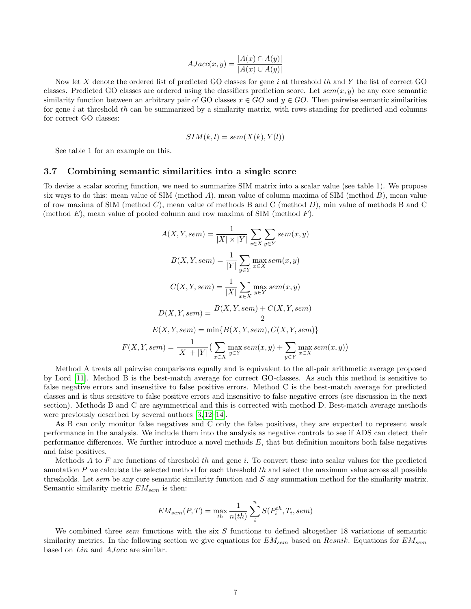$$
AJacc(x, y) = \frac{|A(x) \cap A(y)|}{|A(x) \cup A(y)|}
$$

Now let  $X$  denote the ordered list of predicted GO classes for gene  $i$  at threshold th and  $Y$  the list of correct GO classes. Predicted GO classes are ordered using the classifiers prediction score. Let  $sem(x, y)$  be any core semantic similarity function between an arbitrary pair of GO classes  $x \in GO$  and  $y \in GO$ . Then pairwise semantic similarities for gene i at threshold th can be summarized by a similarity matrix, with rows standing for predicted and columns for correct GO classes:

$$
SIM(k, l) = sem(X(k), Y(l))
$$

See table 1 for an example on this.

#### 3.7 Combining semantic similarities into a single score

To devise a scalar scoring function, we need to summarize SIM matrix into a scalar value (see table 1). We propose six ways to do this: mean value of SIM (method A), mean value of column maxima of SIM (method  $B$ ), mean value of row maxima of SIM (method C), mean value of methods B and C (method D), min value of methods B and C (method  $E$ ), mean value of pooled column and row maxima of SIM (method  $F$ ).

$$
A(X, Y, sem) = \frac{1}{|X| \times |Y|} \sum_{x \in X} \sum_{y \in Y} sem(x, y)
$$

$$
B(X, Y, sem) = \frac{1}{|Y|} \sum_{y \in Y} \max_{x \in X} sem(x, y)
$$

$$
C(X, Y, sem) = \frac{1}{|X|} \sum_{x \in X} \max_{y \in Y} sem(x, y)
$$

$$
D(X, Y, sem) = \frac{B(X, Y, sem) + C(X, Y, sem)}{2}
$$

$$
E(X, Y, sem) = \min\{B(X, Y, sem), C(X, Y, sem)\}
$$

$$
F(X, Y, sem) = \frac{1}{|X| + |Y|} \left(\sum_{x \in X} \max_{y \in Y} sem(x, y) + \sum_{y \in Y} \max_{x \in X} sem(x, y)\right)
$$

Method A treats all pairwise comparisons equally and is equivalent to the all-pair arithmetic average proposed by Lord [\[11\]](#page-9-10). Method B is the best-match average for correct GO-classes. As such this method is sensitive to false negative errors and insensitive to false positive errors. Method C is the best-match average for predicted classes and is thus sensitive to false positive errors and insensitive to false negative errors (see discussion in the next section). Methods B and C are asymmetrical and this is corrected with method D. Best-match average methods were previously described by several authors [\[3,](#page-9-2) [12–](#page-9-11)[14\]](#page-9-12).

As B can only monitor false negatives and C only the false positives, they are expected to represent weak performance in the analysis. We include them into the analysis as negative controls to see if ADS can detect their performance differences. We further introduce a novel methods  $E$ , that but definition monitors both false negatives and false positives.

Methods  $A$  to  $F$  are functions of threshold th and gene i. To convert these into scalar values for the predicted annotation  $P$  we calculate the selected method for each threshold  $th$  and select the maximum value across all possible thresholds. Let sem be any core semantic similarity function and  $S$  any summation method for the similarity matrix. Semantic similarity metric  $EM_{sem}$  is then:

$$
EM_{sem}(P,T) = \max_{th} \frac{1}{n(th)} \sum_{i}^{n} S(P_i^{th}, T_i, sem)
$$

We combined three sem functions with the six  $S$  functions to defined altogether 18 variations of semantic similarity metrics. In the following section we give equations for  $EM_{sem}$  based on  $Resnik$ . Equations for  $EM_{sem}$ based on *Lin* and *AJacc* are similar.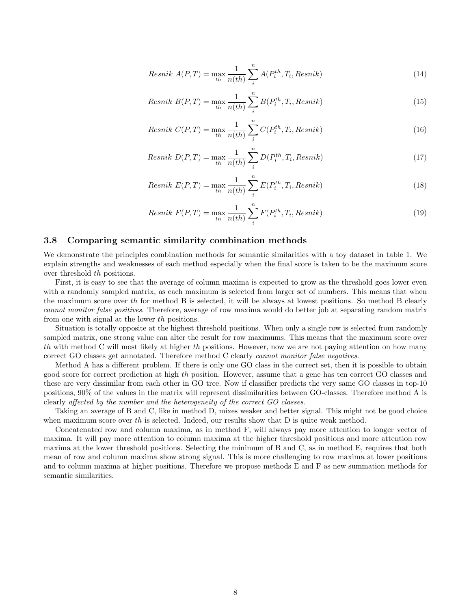$$
Resnik A(P,T) = \max_{th} \frac{1}{n(th)} \sum_{i}^{n} A(P_i^{th}, T_i, Resnik)
$$
\n(14)

$$
Resnik B(P,T) = \max_{th} \frac{1}{n(th)} \sum_{i}^{n} B(P_i^{th}, T_i, Resnik)
$$
\n(15)

$$
Resnik\ C(P,T) = \max_{th} \frac{1}{n(th)} \sum_{i}^{n} C(P_i^{th}, T_i, Resnik)
$$
\n(16)

$$
Resnik D(P,T) = \max_{th} \frac{1}{n(th)} \sum_{i}^{n} D(P_i^{th}, T_i, Resnik)
$$
\n(17)

$$
Resnik E(P,T) = \max_{th} \frac{1}{n(th)} \sum_{i}^{n} E(P_i^{th}, T_i, Resnik)
$$
\n(18)

$$
Resnik\ F(P,T) = \max_{th} \frac{1}{n(th)} \sum_{i}^{n} F(P_i^{th}, T_i, Resnik)
$$
\n(19)

### 3.8 Comparing semantic similarity combination methods

We demonstrate the principles combination methods for semantic similarities with a toy dataset in table 1. We explain strengths and weaknesses of each method especially when the final score is taken to be the maximum score over threshold th positions.

First, it is easy to see that the average of column maxima is expected to grow as the threshold goes lower even with a randomly sampled matrix, as each maximum is selected from larger set of numbers. This means that when the maximum score over th for method B is selected, it will be always at lowest positions. So method B clearly cannot monitor false positives. Therefore, average of row maxima would do better job at separating random matrix from one with signal at the lower th positions.

Situation is totally opposite at the highest threshold positions. When only a single row is selected from randomly sampled matrix, one strong value can alter the result for row maximums. This means that the maximum score over th with method C will most likely at higher th positions. However, now we are not paying attention on how many correct GO classes get annotated. Therefore method C clearly cannot monitor false negatives.

Method A has a different problem. If there is only one GO class in the correct set, then it is possible to obtain good score for correct prediction at high th position. However, assume that a gene has ten correct GO classes and these are very dissimilar from each other in GO tree. Now if classifier predicts the very same GO classes in top-10 positions, 90% of the values in the matrix will represent dissimilarities between GO-classes. Therefore method A is clearly affected by the number and the heterogeneity of the correct GO classes.

Taking an average of B and C, like in method D, mixes weaker and better signal. This might not be good choice when maximum score over th is selected. Indeed, our results show that  $D$  is quite weak method.

Concatenated row and column maxima, as in method F, will always pay more attention to longer vector of maxima. It will pay more attention to column maxima at the higher threshold positions and more attention row maxima at the lower threshold positions. Selecting the minimum of B and C, as in method E, requires that both mean of row and column maxima show strong signal. This is more challenging to row maxima at lower positions and to column maxima at higher positions. Therefore we propose methods E and F as new summation methods for semantic similarities.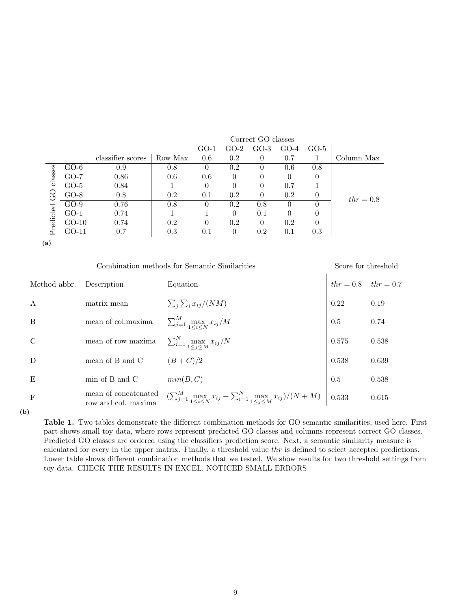|             | $GO-5$           | $GO-4$   | $GO-3$   | $GO-2$   | $GO-1$   |         |                   |         |                                       |  |
|-------------|------------------|----------|----------|----------|----------|---------|-------------------|---------|---------------------------------------|--|
| Column Max  |                  | 0.7      | $\cup$   | 0.2      | 0.6      | Row Max | classifier scores |         |                                       |  |
|             | 0.8              | 0.6      | $\cup$   | 0.2      |          | 0.8     | 0.9               | $GO-6$  | classes<br>$\sum_{\tau}$<br>Predicted |  |
|             | $\left( \right)$ | $\theta$ | $\theta$ | $\Omega$ | 0.6      | 0.6     | 0.86              | $GO-7$  |                                       |  |
| $thr = 0.8$ |                  | 0.7      | $\theta$ | $\Omega$ | $\Omega$ |         | 0.84              | $GO-5$  |                                       |  |
|             | $\theta$         | 0.2      | $\Omega$ | 0.2      | 0.1      | 0.2     | 0.8               | $GO-8$  |                                       |  |
|             | $\theta$         | $\cup$   | 0.8      | 0.2      |          | 0.8     | 0.76              | $GO-9$  |                                       |  |
|             | $\theta$         | 0        | 0.1      | $\Omega$ |          |         | 0.74              | $GO-1$  |                                       |  |
|             | 0                | 0.2      | $\Omega$ | 0.2      |          | 0.2     | 0.74              | $GO-10$ |                                       |  |
|             | 0.3              | 0.1      | 0.2      | $\theta$ | 0.1      | 0.3     | 0.7               | GO-11   |                                       |  |
|             |                  |          |          |          |          |         |                   |         |                                       |  |

(a)

Combination methods for Semantic Similarities Score for threshold

| Method abbr. | Description                                 | Equation                                                                                                               | $thr = 0.8$ $thr = 0.7$ |       |
|--------------|---------------------------------------------|------------------------------------------------------------------------------------------------------------------------|-------------------------|-------|
| А            | matrix mean                                 | $\sum_{i} \sum_{i} x_{ij} / (NM)$                                                                                      | 0.22                    | 0.19  |
| B            | mean of col.maxima                          | $\sum_{j=1}^M \max_{1 \leq i \leq N} x_{ij}/M$                                                                         | 0.5                     | 0.74  |
| C            | $\,$ mean of row $\,$ maxima                | $\sum_{i=1}^N \max_{1 \leq i \leq M} x_{ij}/N$                                                                         | 0.575                   | 0.538 |
| D            | mean of B and C                             | $(B+C)/2$                                                                                                              | 0.538                   | 0.639 |
| E            | min of B and C                              | min(B, C)                                                                                                              | 0.5                     | 0.538 |
| $\mathbf{F}$ | mean of concatenated<br>row and col. maxima | $\left(\sum_{j=1}^{M} \max_{1 \leq i \leq N} x_{ij} + \sum_{i=1}^{N} \max_{1 \leq j \leq M} x_{ij}\right)/(N+M)$ 0.533 |                         | 0.615 |

(b)

Table 1. Two tables demonstrate the different combination methods for GO semantic similarities, used here. First part shows small toy data, where rows represent predicted GO classes and columns represent correct GO classes. Predicted GO classes are ordered using the classifiers prediction score. Next, a semantic similarity measure is calculated for every in the upper matrix. Finally, a threshold value thr is defined to select accepted predictions. Lower table shows different combination methods that we tested. We show results for two threshold settings from toy data. CHECK THE RESULTS IN EXCEL. NOTICED SMALL ERRORS